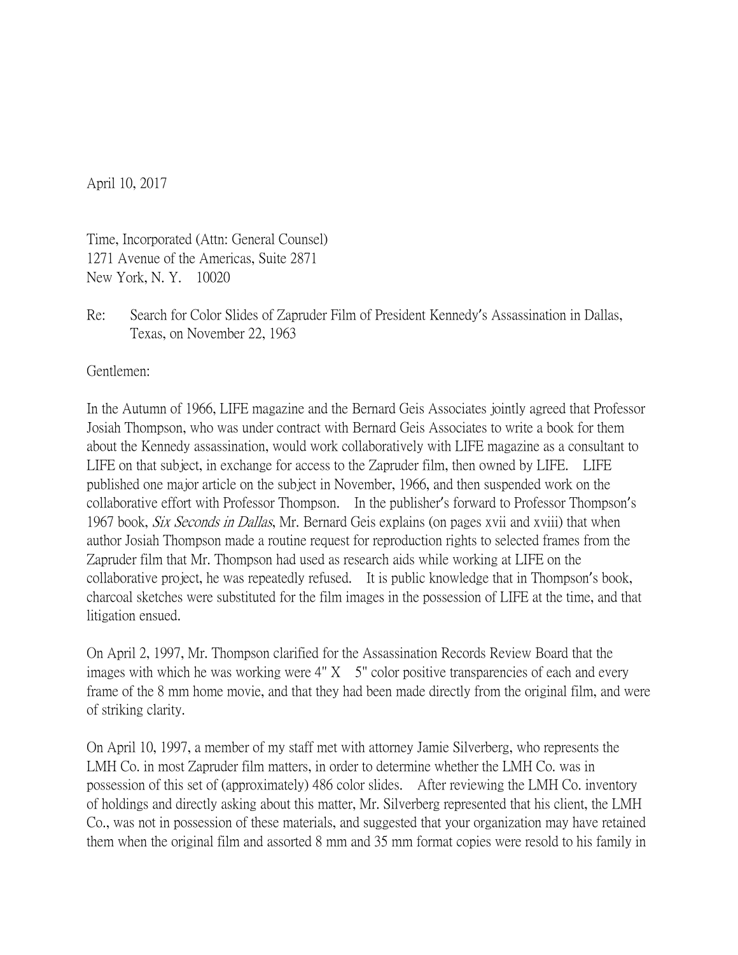April 10, 2017

Time, Incorporated (Attn: General Counsel) 1271 Avenue of the Americas, Suite 2871 New York, N. Y. 10020

Re: Search for Color Slides of Zapruder Film of President Kennedy's Assassination in Dallas, Texas, on November 22, 1963

Gentlemen:

In the Autumn of 1966, LIFE magazine and the Bernard Geis Associates jointly agreed that Professor Josiah Thompson, who was under contract with Bernard Geis Associates to write a book for them about the Kennedy assassination, would work collaboratively with LIFE magazine as a consultant to LIFE on that subject, in exchange for access to the Zapruder film, then owned by LIFE. LIFE published one major article on the subject in November, 1966, and then suspended work on the collaborative effort with Professor Thompson. In the publisher's forward to Professor Thompson's 1967 book, *Six Seconds in Dallas*, Mr. Bernard Geis explains (on pages xvii and xviii) that when author Josiah Thompson made a routine request for reproduction rights to selected frames from the Zapruder film that Mr. Thompson had used as research aids while working at LIFE on the collaborative project, he was repeatedly refused. It is public knowledge that in Thompson's book, charcoal sketches were substituted for the film images in the possession of LIFE at the time, and that litigation ensued.

On April 2, 1997, Mr. Thompson clarified for the Assassination Records Review Board that the images with which he was working were  $4'' X$  5" color positive transparencies of each and every frame of the 8 mm home movie, and that they had been made directly from the original film, and were of striking clarity.

On April 10, 1997, a member of my staff met with attorney Jamie Silverberg, who represents the LMH Co. in most Zapruder film matters, in order to determine whether the LMH Co. was in possession of this set of (approximately) 486 color slides. After reviewing the LMH Co. inventory of holdings and directly asking about this matter, Mr. Silverberg represented that his client, the LMH Co., was not in possession of these materials, and suggested that your organization may have retained them when the original film and assorted 8 mm and 35 mm format copies were resold to his family in